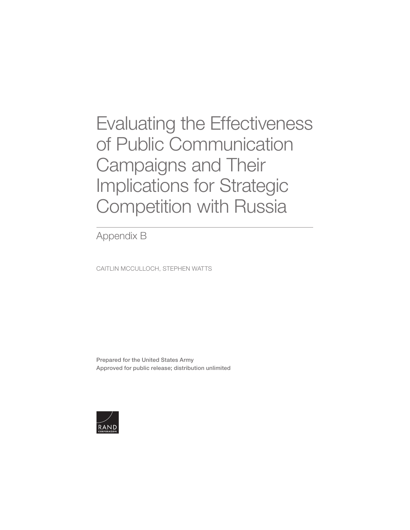[Evaluating the Effectiveness](https://www.rand.org/pubs/research_reports/RRA412-2.html)  of Public Communication Campaigns and Their Implications for Strategic Competition with Russia

Appendix B

CAITLIN MCCULLOCH, STEPHEN WATTS

Prepared for the United States Army Approved for public release; distribution unlimited

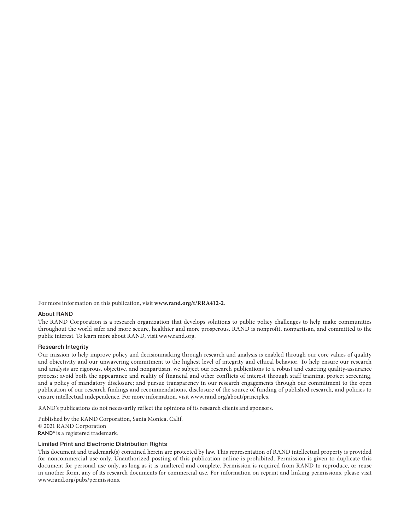For more information on this publication, visit **www.rand.org/t/RRA412-2**.

## About RAND

The RAND Corporation is a research organiz[ation that devel](http://www.rand.org)ops solutions to public policy challenges to help make communities throughout the world safer and more secure, healthier and more prosperous. RAND is nonprofit, nonpartisan, and committed to the public interest. To learn more about RAND, visit www.rand.org.

## Research Integrity

Our mission to help improve policy and decisionmaking through research and analysis is enabled through our core values of quality and objectivity and our unwavering commitment to the highest level of integrity and ethical behavior. To help ensure our research and analysis are rigorous, objective, and nonpartisan, we subject our research publications to a robust and exacting quality-assurance process; avoid both the appearance and reality of financial [and other conflicts of interest th](http://www.rand.org/about/principles)rough staff training, project screening, and a policy of mandatory disclosure; and pursue transparency in our research engagements through our commitment to the open publication of our research findings and recommendations, disclosure of the source of funding of published research, and policies to ensure intellectual independence. For more information, visit www.rand.org/about/principles.

RAND's publications do not necessarily reflect the opinions of its research clients and sponsors.

Published by the RAND Corporation, Santa Monica, Calif. © 2021 RAND Corporation RAND<sup>®</sup> is a registered trademark.

## Limited Print and Electronic Distribution Rights

This document and trademark(s) contained herein are protected by law. This representation of RAND intellectual property is provided for noncommercial use only. Unauthorized posting of this publication online is prohibited. Permission is given to duplicate this document for personal use only, as long as it is unaltered and complete. Permission is required from RAND to reproduce, or reuse in another form, any of its research documents for commercial use. For information on reprint and linking permissions, please visit [www.rand.org/pubs/permissions.](http://www.rand.org/pubs/permissions)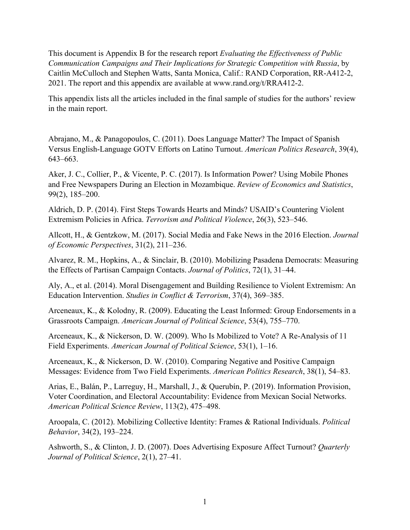This document is Appendix B for the research report *Evaluating the Effectiveness of Public Communication Campaigns and Their Implications for Strategic Competition with Russia*, by Caitlin McCulloch and Stephen Watts, Santa Monica, Calif.: RAND Corporation, RR-A412-2, 2021. The report and this appendix are available at [www.rand.org/t/RRA412-2.](http://www.rand.org/t/RRA412-2)

This appendix lists all the articles included in the final sample of studies for the authors' review in the main report.

Abrajano, M., & Panagopoulos, C. (2011). Does Language Matter? The Impact of Spanish Versus English-Language GOTV Efforts on Latino Turnout. *American Politics Research*, 39(4), 643–663.

Aker, J. C., Collier, P., & Vicente, P. C. (2017). Is Information Power? Using Mobile Phones and Free Newspapers During an Election in Mozambique. *Review of Economics and Statistics*, 99(2), 185–200.

Aldrich, D. P. (2014). First Steps Towards Hearts and Minds? USAID's Countering Violent Extremism Policies in Africa. *Terrorism and Political Violence*, 26(3), 523–546.

Allcott, H., & Gentzkow, M. (2017). Social Media and Fake News in the 2016 Election. *Journal of Economic Perspectives*, 31(2), 211–236.

Alvarez, R. M., Hopkins, A., & Sinclair, B. (2010). Mobilizing Pasadena Democrats: Measuring the Effects of Partisan Campaign Contacts. *Journal of Politics*, 72(1), 31–44.

Aly, A., et al. (2014). Moral Disengagement and Building Resilience to Violent Extremism: An Education Intervention. *Studies in Conflict & Terrorism*, 37(4), 369–385.

Arceneaux, K., & Kolodny, R. (2009). Educating the Least Informed: Group Endorsements in a Grassroots Campaign. *American Journal of Political Science*, 53(4), 755–770.

Arceneaux, K., & Nickerson, D. W. (2009). Who Is Mobilized to Vote? A Re-Analysis of 11 Field Experiments. *American Journal of Political Science*, 53(1), 1–16.

Arceneaux, K., & Nickerson, D. W. (2010). Comparing Negative and Positive Campaign Messages: Evidence from Two Field Experiments. *American Politics Research*, 38(1), 54–83.

Arias, E., Balán, P., Larreguy, H., Marshall, J., & Querubín, P. (2019). Information Provision, Voter Coordination, and Electoral Accountability: Evidence from Mexican Social Networks. *American Political Science Review*, 113(2), 475–498.

Aroopala, C. (2012). Mobilizing Collective Identity: Frames & Rational Individuals. *Political Behavior*, 34(2), 193–224.

Ashworth, S., & Clinton, J. D. (2007). Does Advertising Exposure Affect Turnout? *Quarterly Journal of Political Science*, 2(1), 27–41.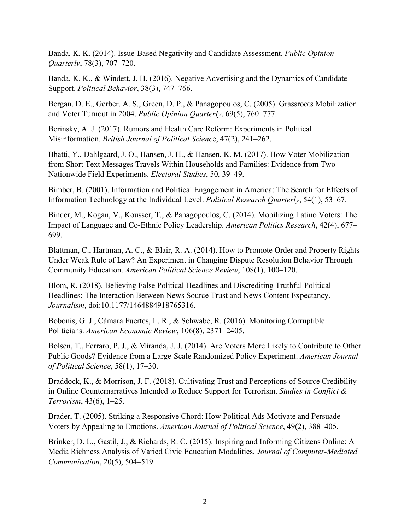Banda, K. K. (2014). Issue-Based Negativity and Candidate Assessment. *Public Opinion Quarterly*, 78(3), 707–720.

Banda, K. K., & Windett, J. H. (2016). Negative Advertising and the Dynamics of Candidate Support. *Political Behavior*, 38(3), 747–766.

Bergan, D. E., Gerber, A. S., Green, D. P., & Panagopoulos, C. (2005). Grassroots Mobilization and Voter Turnout in 2004. *Public Opinion Quarterly*, 69(5), 760–777.

Berinsky, A. J. (2017). Rumors and Health Care Reform: Experiments in Political Misinformation. *British Journal of Political Scienc*e, 47(2), 241–262.

Bhatti, Y., Dahlgaard, J. O., Hansen, J. H., & Hansen, K. M. (2017). How Voter Mobilization from Short Text Messages Travels Within Households and Families: Evidence from Two Nationwide Field Experiments. *Electoral Studies*, 50, 39–49.

Bimber, B. (2001). Information and Political Engagement in America: The Search for Effects of Information Technology at the Individual Level. *Political Research Quarterly*, 54(1), 53–67.

Binder, M., Kogan, V., Kousser, T., & Panagopoulos, C. (2014). Mobilizing Latino Voters: The Impact of Language and Co-Ethnic Policy Leadership. *American Politics Research*, 42(4), 677– 699.

Blattman, C., Hartman, A. C., & Blair, R. A. (2014). How to Promote Order and Property Rights Under Weak Rule of Law? An Experiment in Changing Dispute Resolution Behavior Through Community Education. *American Political Science Review*, 108(1), 100–120.

Blom, R. (2018). Believing False Political Headlines and Discrediting Truthful Political Headlines: The Interaction Between News Source Trust and News Content Expectancy. *Journalism*, doi:10.1177/1464884918765316.

Bobonis, G. J., Cámara Fuertes, L. R., & Schwabe, R. (2016). Monitoring Corruptible Politicians. *American Economic Review*, 106(8), 2371–2405.

Bolsen, T., Ferraro, P. J., & Miranda, J. J. (2014). Are Voters More Likely to Contribute to Other Public Goods? Evidence from a Large‐Scale Randomized Policy Experiment. *American Journal of Political Science*, 58(1), 17–30.

Braddock, K., & Morrison, J. F. (2018). Cultivating Trust and Perceptions of Source Credibility in Online Counternarratives Intended to Reduce Support for Terrorism. *Studies in Conflict & Terrorism*, 43(6), 1–25.

Brader, T. (2005). Striking a Responsive Chord: How Political Ads Motivate and Persuade Voters by Appealing to Emotions. *American Journal of Political Science*, 49(2), 388–405.

Brinker, D. L., Gastil, J., & Richards, R. C. (2015). Inspiring and Informing Citizens Online: A Media Richness Analysis of Varied Civic Education Modalities. *Journal of Computer-Mediated Communication*, 20(5), 504–519.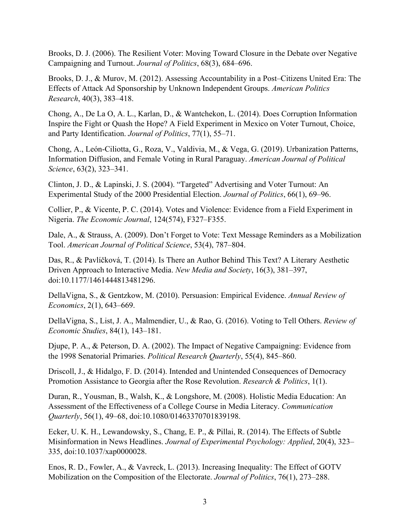Brooks, D. J. (2006). The Resilient Voter: Moving Toward Closure in the Debate over Negative Campaigning and Turnout. *Journal of Politics*, 68(3), 684–696.

Brooks, D. J., & Murov, M. (2012). Assessing Accountability in a Post–Citizens United Era: The Effects of Attack Ad Sponsorship by Unknown Independent Groups. *American Politics Research*, 40(3), 383–418.

Chong, A., De La O, A. L., Karlan, D., & Wantchekon, L. (2014). Does Corruption Information Inspire the Fight or Quash the Hope? A Field Experiment in Mexico on Voter Turnout, Choice, and Party Identification. *Journal of Politics*, 77(1), 55–71.

Chong, A., León‐Ciliotta, G., Roza, V., Valdivia, M., & Vega, G. (2019). Urbanization Patterns, Information Diffusion, and Female Voting in Rural Paraguay. *American Journal of Political Science*, 63(2), 323–341.

Clinton, J. D., & Lapinski, J. S. (2004). "Targeted" Advertising and Voter Turnout: An Experimental Study of the 2000 Presidential Election. *Journal of Politics*, 66(1), 69–96.

Collier, P., & Vicente, P. C. (2014). Votes and Violence: Evidence from a Field Experiment in Nigeria. *The Economic Journal*, 124(574), F327–F355.

Dale, A., & Strauss, A. (2009). Don't Forget to Vote: Text Message Reminders as a Mobilization Tool. *American Journal of Political Science*, 53(4), 787–804.

Das, R., & Pavlíčková, T. (2014). Is There an Author Behind This Text? A Literary Aesthetic Driven Approach to Interactive Media. *New Media and Society*, 16(3), 381–397, doi:10.1177/1461444813481296.

DellaVigna, S., & Gentzkow, M. (2010). Persuasion: Empirical Evidence. *Annual Review of Economics*, 2(1), 643–669.

DellaVigna, S., List, J. A., Malmendier, U., & Rao, G. (2016). Voting to Tell Others. *Review of Economic Studies*, 84(1), 143–181.

Djupe, P. A., & Peterson, D. A. (2002). The Impact of Negative Campaigning: Evidence from the 1998 Senatorial Primaries. *Political Research Quarterly*, 55(4), 845–860.

Driscoll, J., & Hidalgo, F. D. (2014). Intended and Unintended Consequences of Democracy Promotion Assistance to Georgia after the Rose Revolution. *Research & Politics*, 1(1).

Duran, R., Yousman, B., Walsh, K., & Longshore, M. (2008). Holistic Media Education: An Assessment of the Effectiveness of a College Course in Media Literacy. *Communication Quarterly*, 56(1), 49–68, doi:10.1080/01463370701839198.

Ecker, U. K. H., Lewandowsky, S., Chang, E. P., & Pillai, R. (2014). The Effects of Subtle Misinformation in News Headlines. *Journal of Experimental Psychology: Applied*, 20(4), 323– 335, doi:10.1037/xap0000028.

Enos, R. D., Fowler, A., & Vavreck, L. (2013). Increasing Inequality: The Effect of GOTV Mobilization on the Composition of the Electorate. *Journal of Politics*, 76(1), 273–288.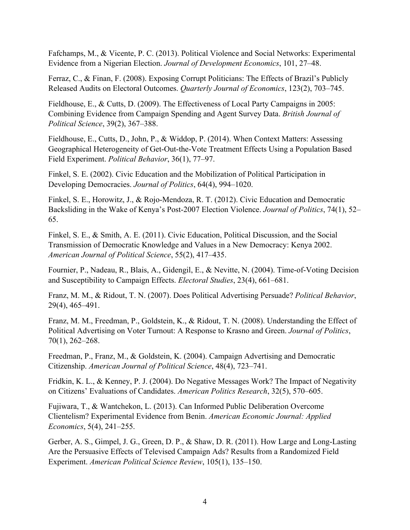Fafchamps, M., & Vicente, P. C. (2013). Political Violence and Social Networks: Experimental Evidence from a Nigerian Election. *Journal of Development Economics*, 101, 27–48.

Ferraz, C., & Finan, F. (2008). Exposing Corrupt Politicians: The Effects of Brazil's Publicly Released Audits on Electoral Outcomes. *Quarterly Journal of Economics*, 123(2), 703–745.

Fieldhouse, E., & Cutts, D. (2009). The Effectiveness of Local Party Campaigns in 2005: Combining Evidence from Campaign Spending and Agent Survey Data. *British Journal of Political Science*, 39(2), 367–388.

Fieldhouse, E., Cutts, D., John, P., & Widdop, P. (2014). When Context Matters: Assessing Geographical Heterogeneity of Get-Out-the-Vote Treatment Effects Using a Population Based Field Experiment. *Political Behavior*, 36(1), 77–97.

Finkel, S. E. (2002). Civic Education and the Mobilization of Political Participation in Developing Democracies. *Journal of Politics*, 64(4), 994–1020.

Finkel, S. E., Horowitz, J., & Rojo-Mendoza, R. T. (2012). Civic Education and Democratic Backsliding in the Wake of Kenya's Post-2007 Election Violence. *Journal of Politics*, 74(1), 52– 65.

Finkel, S. E., & Smith, A. E. (2011). Civic Education, Political Discussion, and the Social Transmission of Democratic Knowledge and Values in a New Democracy: Kenya 2002. *American Journal of Political Science*, 55(2), 417–435.

Fournier, P., Nadeau, R., Blais, A., Gidengil, E., & Nevitte, N. (2004). Time-of-Voting Decision and Susceptibility to Campaign Effects. *Electoral Studies*, 23(4), 661–681.

Franz, M. M., & Ridout, T. N. (2007). Does Political Advertising Persuade? *Political Behavior*, 29(4), 465–491.

Franz, M. M., Freedman, P., Goldstein, K., & Ridout, T. N. (2008). Understanding the Effect of Political Advertising on Voter Turnout: A Response to Krasno and Green. *Journal of Politics*, 70(1), 262–268.

Freedman, P., Franz, M., & Goldstein, K. (2004). Campaign Advertising and Democratic Citizenship. *American Journal of Political Science*, 48(4), 723–741.

Fridkin, K. L., & Kenney, P. J. (2004). Do Negative Messages Work? The Impact of Negativity on Citizens' Evaluations of Candidates. *American Politics Research*, 32(5), 570–605.

Fujiwara, T., & Wantchekon, L. (2013). Can Informed Public Deliberation Overcome Clientelism? Experimental Evidence from Benin. *American Economic Journal: Applied Economics*, 5(4), 241–255.

Gerber, A. S., Gimpel, J. G., Green, D. P., & Shaw, D. R. (2011). How Large and Long-Lasting Are the Persuasive Effects of Televised Campaign Ads? Results from a Randomized Field Experiment. *American Political Science Review*, 105(1), 135–150.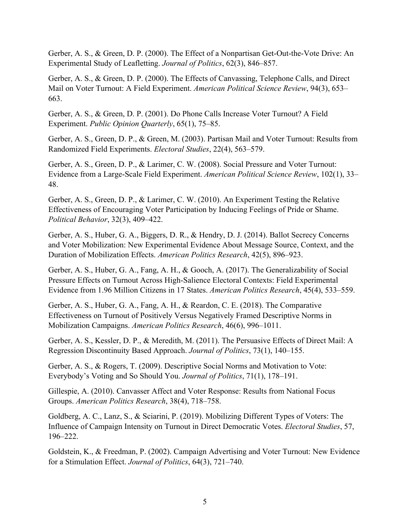Gerber, A. S., & Green, D. P. (2000). The Effect of a Nonpartisan Get-Out-the-Vote Drive: An Experimental Study of Leafletting. *Journal of Politics*, 62(3), 846–857.

Gerber, A. S., & Green, D. P. (2000). The Effects of Canvassing, Telephone Calls, and Direct Mail on Voter Turnout: A Field Experiment. *American Political Science Review*, 94(3), 653– 663.

Gerber, A. S., & Green, D. P. (2001). Do Phone Calls Increase Voter Turnout? A Field Experiment. *Public Opinion Quarterly*, 65(1), 75–85.

Gerber, A. S., Green, D. P., & Green, M. (2003). Partisan Mail and Voter Turnout: Results from Randomized Field Experiments. *Electoral Studies*, 22(4), 563–579.

Gerber, A. S., Green, D. P., & Larimer, C. W. (2008). Social Pressure and Voter Turnout: Evidence from a Large-Scale Field Experiment. *American Political Science Review*, 102(1), 33– 48.

Gerber, A. S., Green, D. P., & Larimer, C. W. (2010). An Experiment Testing the Relative Effectiveness of Encouraging Voter Participation by Inducing Feelings of Pride or Shame. *Political Behavior*, 32(3), 409–422.

Gerber, A. S., Huber, G. A., Biggers, D. R., & Hendry, D. J. (2014). Ballot Secrecy Concerns and Voter Mobilization: New Experimental Evidence About Message Source, Context, and the Duration of Mobilization Effects. *American Politics Research*, 42(5), 896–923.

Gerber, A. S., Huber, G. A., Fang, A. H., & Gooch, A. (2017). The Generalizability of Social Pressure Effects on Turnout Across High-Salience Electoral Contexts: Field Experimental Evidence from 1.96 Million Citizens in 17 States. *American Politics Research*, 45(4), 533–559.

Gerber, A. S., Huber, G. A., Fang, A. H., & Reardon, C. E. (2018). The Comparative Effectiveness on Turnout of Positively Versus Negatively Framed Descriptive Norms in Mobilization Campaigns. *American Politics Research*, 46(6), 996–1011.

Gerber, A. S., Kessler, D. P., & Meredith, M. (2011). The Persuasive Effects of Direct Mail: A Regression Discontinuity Based Approach. *Journal of Politics*, 73(1), 140–155.

Gerber, A. S., & Rogers, T. (2009). Descriptive Social Norms and Motivation to Vote: Everybody's Voting and So Should You. *Journal of Politics*, 71(1), 178–191.

Gillespie, A. (2010). Canvasser Affect and Voter Response: Results from National Focus Groups. *American Politics Research*, 38(4), 718–758.

Goldberg, A. C., Lanz, S., & Sciarini, P. (2019). Mobilizing Different Types of Voters: The Influence of Campaign Intensity on Turnout in Direct Democratic Votes. *Electoral Studies*, 57, 196–222.

Goldstein, K., & Freedman, P. (2002). Campaign Advertising and Voter Turnout: New Evidence for a Stimulation Effect. *Journal of Politics*, 64(3), 721–740.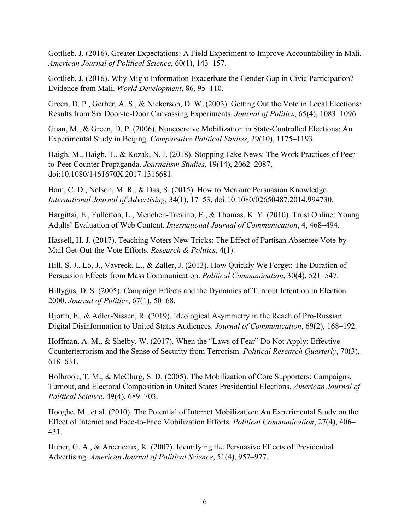Gottlieb, J. (2016). Greater Expectations: A Field Experiment to Improve Accountability in Mali. *American Journal of Political Science*, 60(1), 143–157.

Gottlieb, J. (2016). Why Might Information Exacerbate the Gender Gap in Civic Participation? Evidence from Mali. *World Development*, 86, 95–110.

Green, D. P., Gerber, A. S., & Nickerson, D. W. (2003). Getting Out the Vote in Local Elections: Results from Six Door‐to‐Door Canvassing Experiments. *Journal of Politics*, 65(4), 1083–1096.

Guan, M., & Green, D. P. (2006). Noncoercive Mobilization in State-Controlled Elections: An Experimental Study in Beijing. *Comparative Political Studies*, 39(10), 1175–1193.

Haigh, M., Haigh, T., & Kozak, N. I. (2018). Stopping Fake News: The Work Practices of Peerto-Peer Counter Propaganda. *Journalism Studies*, 19(14), 2062–2087, doi:10.1080/1461670X.2017.1316681.

Ham, C. D., Nelson, M. R., & Das, S. (2015). How to Measure Persuasion Knowledge. *International Journal of Advertising*, 34(1), 17–53, doi:10.1080/02650487.2014.994730.

Hargittai, E., Fullerton, L., Menchen-Trevino, E., & Thomas, K. Y. (2010). Trust Online: Young Adults' Evaluation of Web Content. *International Journal of Communication*, 4, 468–494.

Hassell, H. J. (2017). Teaching Voters New Tricks: The Effect of Partisan Absentee Vote-by-Mail Get-Out-the-Vote Efforts. *Research & Politics*, 4(1).

Hill, S. J., Lo, J., Vavreck, L., & Zaller, J. (2013). How Quickly We Forget: The Duration of Persuasion Effects from Mass Communication. *Political Communication*, 30(4), 521–547.

Hillygus, D. S. (2005). Campaign Effects and the Dynamics of Turnout Intention in Election 2000. *Journal of Politics*, 67(1), 50–68.

Hjorth, F., & Adler-Nissen, R. (2019). Ideological Asymmetry in the Reach of Pro-Russian Digital Disinformation to United States Audiences. *Journal of Communication*, 69(2), 168–192.

Hoffman, A. M., & Shelby, W. (2017). When the "Laws of Fear" Do Not Apply: Effective Counterterrorism and the Sense of Security from Terrorism. *Political Research Quarterly*, 70(3), 618–631.

Holbrook, T. M., & McClurg, S. D. (2005). The Mobilization of Core Supporters: Campaigns, Turnout, and Electoral Composition in United States Presidential Elections. *American Journal of Political Science*, 49(4), 689–703.

Hooghe, M., et al. (2010). The Potential of Internet Mobilization: An Experimental Study on the Effect of Internet and Face-to-Face Mobilization Efforts. *Political Communication*, 27(4), 406– 431.

Huber, G. A., & Arceneaux, K. (2007). Identifying the Persuasive Effects of Presidential Advertising. *American Journal of Political Science*, 51(4), 957–977.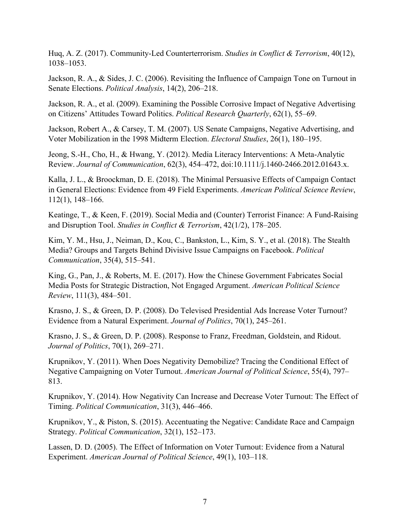Huq, A. Z. (2017). Community-Led Counterterrorism. *Studies in Conflict & Terrorism*, 40(12), 1038–1053.

Jackson, R. A., & Sides, J. C. (2006). Revisiting the Influence of Campaign Tone on Turnout in Senate Elections. *Political Analysis*, 14(2), 206–218.

Jackson, R. A., et al. (2009). Examining the Possible Corrosive Impact of Negative Advertising on Citizens' Attitudes Toward Politics. *Political Research Quarterly*, 62(1), 55–69.

Jackson, Robert A., & Carsey, T. M. (2007). US Senate Campaigns, Negative Advertising, and Voter Mobilization in the 1998 Midterm Election. *Electoral Studies*, 26(1), 180–195.

Jeong, S.-H., Cho, H., & Hwang, Y. (2012). Media Literacy Interventions: A Meta-Analytic Review. *Journal of Communication*, 62(3), 454–472, doi:10.1111/j.1460-2466.2012.01643.x.

Kalla, J. L., & Broockman, D. E. (2018). The Minimal Persuasive Effects of Campaign Contact in General Elections: Evidence from 49 Field Experiments. *American Political Science Review*, 112(1), 148–166.

Keatinge, T., & Keen, F. (2019). Social Media and (Counter) Terrorist Finance: A Fund-Raising and Disruption Tool. *Studies in Conflict & Terrorism*, 42(1/2), 178–205.

Kim, Y. M., Hsu, J., Neiman, D., Kou, C., Bankston, L., Kim, S. Y., et al. (2018). The Stealth Media? Groups and Targets Behind Divisive Issue Campaigns on Facebook. *Political Communication*, 35(4), 515–541.

King, G., Pan, J., & Roberts, M. E. (2017). How the Chinese Government Fabricates Social Media Posts for Strategic Distraction, Not Engaged Argument. *American Political Science Review*, 111(3), 484–501.

Krasno, J. S., & Green, D. P. (2008). Do Televised Presidential Ads Increase Voter Turnout? Evidence from a Natural Experiment. *Journal of Politics*, 70(1), 245–261.

Krasno, J. S., & Green, D. P. (2008). Response to Franz, Freedman, Goldstein, and Ridout. *Journal of Politics*, 70(1), 269–271.

Krupnikov, Y. (2011). When Does Negativity Demobilize? Tracing the Conditional Effect of Negative Campaigning on Voter Turnout. *American Journal of Political Science*, 55(4), 797– 813.

Krupnikov, Y. (2014). How Negativity Can Increase and Decrease Voter Turnout: The Effect of Timing. *Political Communication*, 31(3), 446–466.

Krupnikov, Y., & Piston, S. (2015). Accentuating the Negative: Candidate Race and Campaign Strategy. *Political Communication*, 32(1), 152–173.

Lassen, D. D. (2005). The Effect of Information on Voter Turnout: Evidence from a Natural Experiment. *American Journal of Political Science*, 49(1), 103–118.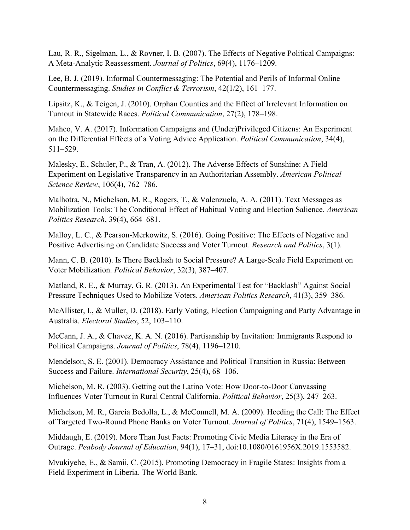Lau, R. R., Sigelman, L., & Rovner, I. B. (2007). The Effects of Negative Political Campaigns: A Meta‐Analytic Reassessment. *Journal of Politics*, 69(4), 1176–1209.

Lee, B. J. (2019). Informal Countermessaging: The Potential and Perils of Informal Online Countermessaging. *Studies in Conflict & Terrorism*, 42(1/2), 161–177.

Lipsitz, K., & Teigen, J. (2010). Orphan Counties and the Effect of Irrelevant Information on Turnout in Statewide Races. *Political Communication*, 27(2), 178–198.

Maheo, V. A. (2017). Information Campaigns and (Under)Privileged Citizens: An Experiment on the Differential Effects of a Voting Advice Application. *Political Communication*, 34(4), 511–529.

Malesky, E., Schuler, P., & Tran, A. (2012). The Adverse Effects of Sunshine: A Field Experiment on Legislative Transparency in an Authoritarian Assembly. *American Political Science Review*, 106(4), 762–786.

Malhotra, N., Michelson, M. R., Rogers, T., & Valenzuela, A. A. (2011). Text Messages as Mobilization Tools: The Conditional Effect of Habitual Voting and Election Salience. *American Politics Research*, 39(4), 664–681.

Malloy, L. C., & Pearson-Merkowitz, S. (2016). Going Positive: The Effects of Negative and Positive Advertising on Candidate Success and Voter Turnout. *Research and Politics*, 3(1).

Mann, C. B. (2010). Is There Backlash to Social Pressure? A Large-Scale Field Experiment on Voter Mobilization. *Political Behavior*, 32(3), 387–407.

Matland, R. E., & Murray, G. R. (2013). An Experimental Test for "Backlash" Against Social Pressure Techniques Used to Mobilize Voters. *American Politics Research*, 41(3), 359–386.

McAllister, I., & Muller, D. (2018). Early Voting, Election Campaigning and Party Advantage in Australia. *Electoral Studies*, 52, 103–110.

McCann, J. A., & Chavez, K. A. N. (2016). Partisanship by Invitation: Immigrants Respond to Political Campaigns. *Journal of Politics*, 78(4), 1196–1210.

Mendelson, S. E. (2001). Democracy Assistance and Political Transition in Russia: Between Success and Failure. *International Security*, 25(4), 68–106.

Michelson, M. R. (2003). Getting out the Latino Vote: How Door-to-Door Canvassing Influences Voter Turnout in Rural Central California. *Political Behavior*, 25(3), 247–263.

Michelson, M. R., García Bedolla, L., & McConnell, M. A. (2009). Heeding the Call: The Effect of Targeted Two-Round Phone Banks on Voter Turnout. *Journal of Politics*, 71(4), 1549–1563.

Middaugh, E. (2019). More Than Just Facts: Promoting Civic Media Literacy in the Era of Outrage. *Peabody Journal of Education*, 94(1), 17–31, doi:10.1080/0161956X.2019.1553582.

Mvukiyehe, E., & Samii, C. (2015). Promoting Democracy in Fragile States: Insights from a Field Experiment in Liberia. The World Bank.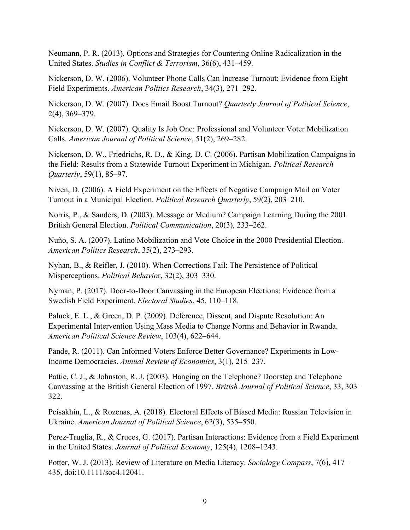Neumann, P. R. (2013). Options and Strategies for Countering Online Radicalization in the United States. *Studies in Conflict & Terrorism*, 36(6), 431–459.

Nickerson, D. W. (2006). Volunteer Phone Calls Can Increase Turnout: Evidence from Eight Field Experiments. *American Politics Research*, 34(3), 271–292.

Nickerson, D. W. (2007). Does Email Boost Turnout? *Quarterly Journal of Political Science*, 2(4), 369–379.

Nickerson, D. W. (2007). Quality Is Job One: Professional and Volunteer Voter Mobilization Calls. *American Journal of Political Science*, 51(2), 269–282.

Nickerson, D. W., Friedrichs, R. D., & King, D. C. (2006). Partisan Mobilization Campaigns in the Field: Results from a Statewide Turnout Experiment in Michigan. *Political Research Quarterly*, 59(1), 85–97.

Niven, D. (2006). A Field Experiment on the Effects of Negative Campaign Mail on Voter Turnout in a Municipal Election. *Political Research Quarterly*, 59(2), 203–210.

Norris, P., & Sanders, D. (2003). Message or Medium? Campaign Learning During the 2001 British General Election. *Political Communication*, 20(3), 233–262.

Nuño, S. A. (2007). Latino Mobilization and Vote Choice in the 2000 Presidential Election. *American Politics Research*, 35(2), 273–293.

Nyhan, B., & Reifler, J. (2010). When Corrections Fail: The Persistence of Political Misperceptions. *Political Behavio*r, 32(2), 303–330.

Nyman, P. (2017). Door-to-Door Canvassing in the European Elections: Evidence from a Swedish Field Experiment. *Electoral Studies*, 45, 110–118.

Paluck, E. L., & Green, D. P. (2009). Deference, Dissent, and Dispute Resolution: An Experimental Intervention Using Mass Media to Change Norms and Behavior in Rwanda. *American Political Science Review*, 103(4), 622–644.

Pande, R. (2011). Can Informed Voters Enforce Better Governance? Experiments in Low-Income Democracies. *Annual Review of Economics*, 3(1), 215–237.

Pattie, C. J., & Johnston, R. J. (2003). Hanging on the Telephone? Doorstep and Telephone Canvassing at the British General Election of 1997. *British Journal of Political Science*, 33, 303– 322.

Peisakhin, L., & Rozenas, A. (2018). Electoral Effects of Biased Media: Russian Television in Ukraine. *American Journal of Political Science*, 62(3), 535–550.

Perez-Truglia, R., & Cruces, G. (2017). Partisan Interactions: Evidence from a Field Experiment in the United States. *Journal of Political Economy*, 125(4), 1208–1243.

Potter, W. J. (2013). Review of Literature on Media Literacy. *Sociology Compass*, 7(6), 417– 435, doi:10.1111/soc4.12041.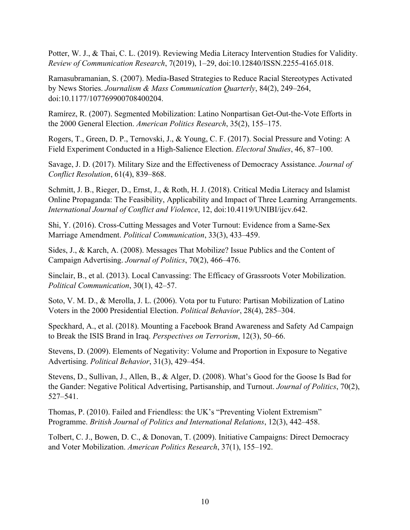Potter, W. J., & Thai, C. L. (2019). Reviewing Media Literacy Intervention Studies for Validity. *Review of Communication Research*, 7(2019), 1–29, doi:10.12840/ISSN.2255-4165.018.

Ramasubramanian, S. (2007). Media-Based Strategies to Reduce Racial Stereotypes Activated by News Stories. *Journalism & Mass Communication Quarterly*, 84(2), 249–264, doi:10.1177/107769900708400204.

Ramírez, R. (2007). Segmented Mobilization: Latino Nonpartisan Get-Out-the-Vote Efforts in the 2000 General Election. *American Politics Research*, 35(2), 155–175.

Rogers, T., Green, D. P., Ternovski, J., & Young, C. F. (2017). Social Pressure and Voting: A Field Experiment Conducted in a High-Salience Election. *Electoral Studies*, 46, 87–100.

Savage, J. D. (2017). Military Size and the Effectiveness of Democracy Assistance. *Journal of Conflict Resolution*, 61(4), 839–868.

Schmitt, J. B., Rieger, D., Ernst, J., & Roth, H. J. (2018). Critical Media Literacy and Islamist Online Propaganda: The Feasibility, Applicability and Impact of Three Learning Arrangements. *International Journal of Conflict and Violence*, 12, doi:10.4119/UNIBI/ijcv.642.

Shi, Y. (2016). Cross-Cutting Messages and Voter Turnout: Evidence from a Same-Sex Marriage Amendment. *Political Communication*, 33(3), 433–459.

Sides, J., & Karch, A. (2008). Messages That Mobilize? Issue Publics and the Content of Campaign Advertising. *Journal of Politics*, 70(2), 466–476.

Sinclair, B., et al. (2013). Local Canvassing: The Efficacy of Grassroots Voter Mobilization. *Political Communication*, 30(1), 42–57.

Soto, V. M. D., & Merolla, J. L. (2006). Vota por tu Futuro: Partisan Mobilization of Latino Voters in the 2000 Presidential Election. *Political Behavior*, 28(4), 285–304.

Speckhard, A., et al. (2018). Mounting a Facebook Brand Awareness and Safety Ad Campaign to Break the ISIS Brand in Iraq. *Perspectives on Terrorism*, 12(3), 50–66.

Stevens, D. (2009). Elements of Negativity: Volume and Proportion in Exposure to Negative Advertising. *Political Behavior*, 31(3), 429–454.

Stevens, D., Sullivan, J., Allen, B., & Alger, D. (2008). What's Good for the Goose Is Bad for the Gander: Negative Political Advertising, Partisanship, and Turnout. *Journal of Politics*, 70(2), 527–541.

Thomas, P. (2010). Failed and Friendless: the UK's "Preventing Violent Extremism" Programme. *British Journal of Politics and International Relations*, 12(3), 442–458.

Tolbert, C. J., Bowen, D. C., & Donovan, T. (2009). Initiative Campaigns: Direct Democracy and Voter Mobilization. *American Politics Research*, 37(1), 155–192.